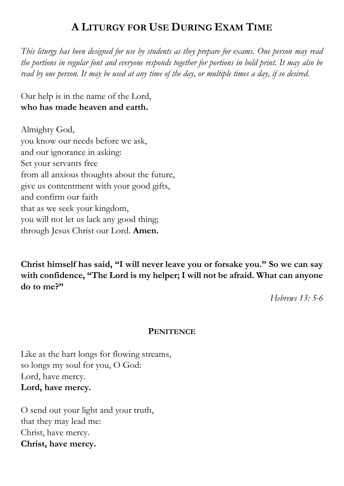# **A LITURGY FOR USE DURING EXAM TIME**

*This liturgy has been designed for use by students as they prepare for exams. One person may read the portions in regular font and everyone responds together for portions in bold print. It may also be read by one person. It may be used at any time of the day, or multiple times a day, if so desired.*

Our help is in the name of the Lord, **who has made heaven and earth.**

Almighty God, you know our needs before we ask, and our ignorance in asking: Set your servants free from all anxious thoughts about the future, give us contentment with your good gifts, and confirm our faith that as we seek your kingdom, you will not let us lack any good thing; through Jesus Christ our Lord. **Amen.**

**Christ himself has said, "I will never leave you or forsake you." So we can say with confidence, "The Lord is my helper; I will not be afraid. What can anyone do to me?"**

*Hebrews 13: 5-6*

### **PENITENCE**

Like as the hart longs for flowing streams, so longs my soul for you, O God: Lord, have mercy. **Lord, have mercy.**

O send out your light and your truth, that they may lead me: Christ, have mercy. **Christ, have mercy.**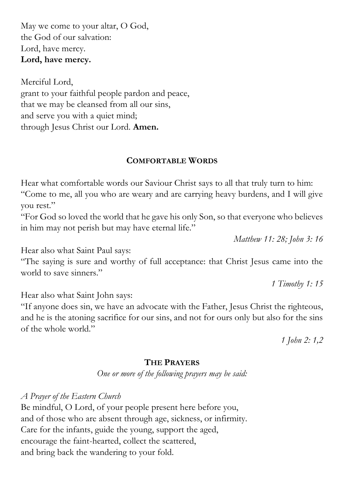May we come to your altar, O God, the God of our salvation: Lord, have mercy. **Lord, have mercy.**

Merciful Lord, grant to your faithful people pardon and peace, that we may be cleansed from all our sins, and serve you with a quiet mind; through Jesus Christ our Lord. **Amen.**

## **COMFORTABLE WORDS**

Hear what comfortable words our Saviour Christ says to all that truly turn to him: "Come to me, all you who are weary and are carrying heavy burdens, and I will give you rest."

"For God so loved the world that he gave his only Son, so that everyone who believes in him may not perish but may have eternal life."

*Matthew 11: 28; John 3: 16*

Hear also what Saint Paul says:

"The saying is sure and worthy of full acceptance: that Christ Jesus came into the world to save sinners."

*1 Timothy 1: 15*

Hear also what Saint John says:

"If anyone does sin, we have an advocate with the Father, Jesus Christ the righteous, and he is the atoning sacrifice for our sins, and not for ours only but also for the sins of the whole world."

*1 John 2: 1,2*

#### **THE PRAYERS**

*One or more of the following prayers may be said:*

*A Prayer of the Eastern Church* Be mindful, O Lord, of your people present here before you, and of those who are absent through age, sickness, or infirmity. Care for the infants, guide the young, support the aged, encourage the faint-hearted, collect the scattered, and bring back the wandering to your fold.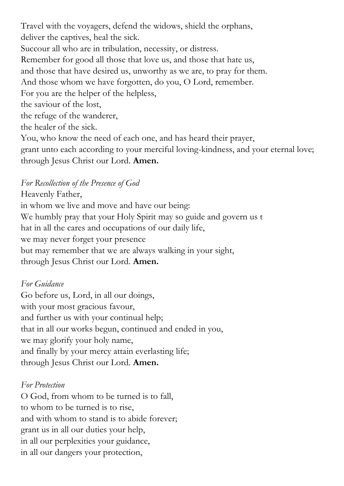Travel with the voyagers, defend the widows, shield the orphans, deliver the captives, heal the sick. Succour all who are in tribulation, necessity, or distress. Remember for good all those that love us, and those that hate us, and those that have desired us, unworthy as we are, to pray for them. And those whom we have forgotten, do you, O Lord, remember. For you are the helper of the helpless, the saviour of the lost, the refuge of the wanderer, the healer of the sick. You, who know the need of each one, and has heard their prayer, grant unto each according to your merciful loving-kindness, and your eternal love; through Jesus Christ our Lord. **Amen.**

## *For Recollection of the Presence of God*

Heavenly Father, in whom we live and move and have our being: We humbly pray that your Holy Spirit may so guide and govern us t hat in all the cares and occupations of our daily life, we may never forget your presence but may remember that we are always walking in your sight, through Jesus Christ our Lord. **Amen.**

## *For Guidance*

Go before us, Lord, in all our doings, with your most gracious favour, and further us with your continual help; that in all our works begun, continued and ended in you, we may glorify your holy name, and finally by your mercy attain everlasting life; through Jesus Christ our Lord. **Amen.**

### *For Protection*

O God, from whom to be turned is to fall, to whom to be turned is to rise, and with whom to stand is to abide forever; grant us in all our duties your help, in all our perplexities your guidance, in all our dangers your protection,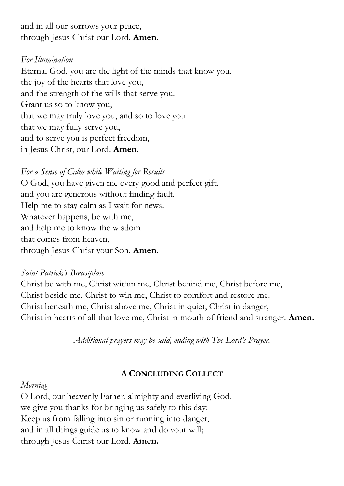and in all our sorrows your peace, through Jesus Christ our Lord. **Amen.**

## *For Illumination*

Eternal God, you are the light of the minds that know you, the joy of the hearts that love you, and the strength of the wills that serve you. Grant us so to know you, that we may truly love you, and so to love you that we may fully serve you, and to serve you is perfect freedom, in Jesus Christ, our Lord. **Amen.**

*For a Sense of Calm while Waiting for Results* O God, you have given me every good and perfect gift, and you are generous without finding fault. Help me to stay calm as I wait for news. Whatever happens, be with me, and help me to know the wisdom that comes from heaven, through Jesus Christ your Son. **Amen.**

### *Saint Patrick's Breastplate*

Christ be with me, Christ within me, Christ behind me, Christ before me, Christ beside me, Christ to win me, Christ to comfort and restore me. Christ beneath me, Christ above me, Christ in quiet, Christ in danger, Christ in hearts of all that love me, Christ in mouth of friend and stranger. **Amen.**

*Additional prayers may be said, ending with The Lord's Prayer.*

## **A CONCLUDING COLLECT**

### *Morning*

O Lord, our heavenly Father, almighty and everliving God, we give you thanks for bringing us safely to this day: Keep us from falling into sin or running into danger, and in all things guide us to know and do your will; through Jesus Christ our Lord. **Amen.**